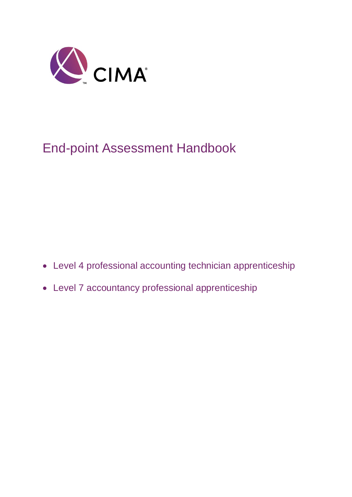

# End-point Assessment Handbook

- Level 4 professional accounting technician apprenticeship
- Level 7 accountancy professional apprenticeship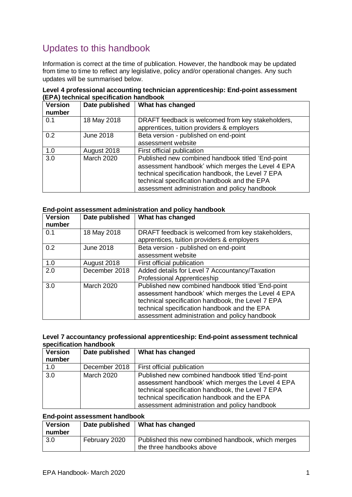## Updates to this handbook

Information is correct at the time of publication. However, the handbook may be updated from time to time to reflect any legislative, policy and/or operational changes. Any such updates will be summarised below.

| Level 4 professional accounting technician apprenticeship: End-point assessment |  |
|---------------------------------------------------------------------------------|--|
| (EPA) technical specification handbook                                          |  |

| <b>Version</b><br>number | Date published    | What has changed                                                                                                                                                                                                                                             |
|--------------------------|-------------------|--------------------------------------------------------------------------------------------------------------------------------------------------------------------------------------------------------------------------------------------------------------|
| 0.1                      | 18 May 2018       | DRAFT feedback is welcomed from key stakeholders,<br>apprentices, tuition providers & employers                                                                                                                                                              |
| 0.2                      | <b>June 2018</b>  | Beta version - published on end-point<br>assessment website                                                                                                                                                                                                  |
| 1.0                      | August 2018       | First official publication                                                                                                                                                                                                                                   |
| 3.0                      | <b>March 2020</b> | Published new combined handbook titled 'End-point<br>assessment handbook' which merges the Level 4 EPA<br>technical specification handbook, the Level 7 EPA<br>technical specification handbook and the EPA<br>assessment administration and policy handbook |

#### **End-point assessment administration and policy handbook**

| <b>Version</b><br>number | Date published    | What has changed                                                                                                                                                                                                                                             |
|--------------------------|-------------------|--------------------------------------------------------------------------------------------------------------------------------------------------------------------------------------------------------------------------------------------------------------|
| 0.1                      | 18 May 2018       | DRAFT feedback is welcomed from key stakeholders,<br>apprentices, tuition providers & employers                                                                                                                                                              |
| 0.2                      | <b>June 2018</b>  | Beta version - published on end-point<br>assessment website                                                                                                                                                                                                  |
| 1.0                      | August 2018       | First official publication                                                                                                                                                                                                                                   |
| 2.0                      | December 2018     | Added details for Level 7 Accountancy/Taxation<br>Professional Apprenticeship                                                                                                                                                                                |
| 3.0                      | <b>March 2020</b> | Published new combined handbook titled 'End-point<br>assessment handbook' which merges the Level 4 EPA<br>technical specification handbook, the Level 7 EPA<br>technical specification handbook and the EPA<br>assessment administration and policy handbook |

#### **Level 7 accountancy professional apprenticeship: End-point assessment technical specification handbook**

| <b>Version</b> | Date published    | What has changed                                                                                                                                                                                                                                             |
|----------------|-------------------|--------------------------------------------------------------------------------------------------------------------------------------------------------------------------------------------------------------------------------------------------------------|
| number         |                   |                                                                                                                                                                                                                                                              |
| 1.0            | December 2018     | First official publication                                                                                                                                                                                                                                   |
| 3.0            | <b>March 2020</b> | Published new combined handbook titled 'End-point<br>assessment handbook' which merges the Level 4 EPA<br>technical specification handbook, the Level 7 EPA<br>technical specification handbook and the EPA<br>assessment administration and policy handbook |

#### **End-point assessment handbook**

| <b>Version</b><br>number | Date published | What has changed                                                                |
|--------------------------|----------------|---------------------------------------------------------------------------------|
| 3.0                      | February 2020  | Published this new combined handbook, which merges<br>the three handbooks above |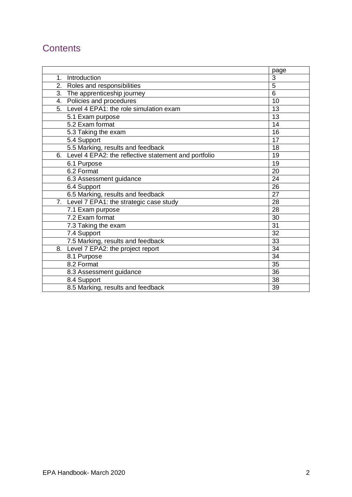## **Contents**

|                                                         | page            |
|---------------------------------------------------------|-----------------|
| Introduction<br>$1_{-}$                                 | 3               |
| 2.<br>Roles and responsibilities                        | $\overline{5}$  |
| 3. The apprenticeship journey                           | 6               |
| 4. Policies and procedures                              | 10              |
| 5. Level 4 EPA1: the role simulation exam               | 13              |
| 5.1 Exam purpose                                        | 13              |
| 5.2 Exam format                                         | 14              |
| 5.3 Taking the exam                                     | 16              |
| 5.4 Support                                             | 17              |
| 5.5 Marking, results and feedback                       | 18              |
| 6. Level 4 EPA2: the reflective statement and portfolio | 19              |
| 6.1 Purpose                                             | 19              |
| 6.2 Format                                              | 20              |
| 6.3 Assessment guidance                                 | 24              |
| 6.4 Support                                             | 26              |
| 6.5 Marking, results and feedback                       | 27              |
| 7. Level 7 EPA1: the strategic case study               | 28              |
| 7.1 Exam purpose                                        | 28              |
| 7.2 Exam format                                         | 30              |
| 7.3 Taking the exam                                     | 31              |
| 7.4 Support                                             | 32              |
| 7.5 Marking, results and feedback                       | 33              |
| Level 7 EPA2: the project report<br>8.                  | $\overline{34}$ |
| 8.1 Purpose                                             | $\overline{34}$ |
| 8.2 Format                                              | 35              |
| 8.3 Assessment guidance                                 | 36              |
| 8.4 Support                                             | 38              |
| 8.5 Marking, results and feedback                       | 39              |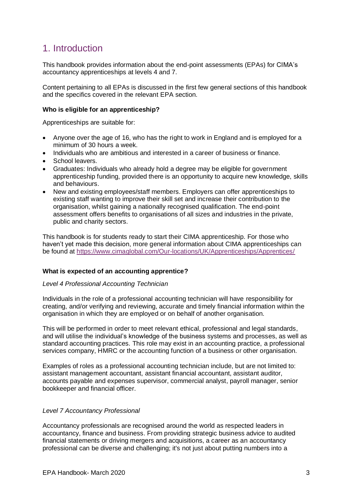## 1. Introduction

This handbook provides information about the end-point assessments (EPAs) for CIMA's accountancy apprenticeships at levels 4 and 7.

Content pertaining to all EPAs is discussed in the first few general sections of this handbook and the specifics covered in the relevant EPA section.

#### **Who is eligible for an apprenticeship?**

Apprenticeships are suitable for:

- Anyone over the age of 16, who has the right to work in England and is employed for a minimum of 30 hours a week.
- Individuals who are ambitious and interested in a career of business or finance.
- School leavers.
- Graduates: Individuals who already hold a degree may be eligible for government apprenticeship funding, provided there is an opportunity to acquire new knowledge, skills and behaviours.
- New and existing employees/staff members. Employers can offer apprenticeships to existing staff wanting to improve their skill set and increase their contribution to the organisation, whilst gaining a nationally recognised qualification. The end-point assessment offers benefits to organisations of all sizes and industries in the private, public and charity sectors.

This handbook is for students ready to start their CIMA apprenticeship. For those who haven't yet made this decision, more general information about CIMA apprenticeships can be found at <https://www.cimaglobal.com/Our-locations/UK/Apprenticeships/Apprentices/>

#### **What is expected of an accounting apprentice?**

#### *Level 4 Professional Accounting Technician*

Individuals in the role of a professional accounting technician will have responsibility for creating, and/or verifying and reviewing, accurate and timely financial information within the organisation in which they are employed or on behalf of another organisation.

This will be performed in order to meet relevant ethical, professional and legal standards, and will utilise the individual's knowledge of the business systems and processes, as well as standard accounting practices. This role may exist in an accounting practice, a professional services company, HMRC or the accounting function of a business or other organisation.

Examples of roles as a professional accounting technician include, but are not limited to: assistant management accountant, assistant financial accountant, assistant auditor, accounts payable and expenses supervisor, commercial analyst, payroll manager, senior bookkeeper and financial officer.

#### *Level 7 Accountancy Professional*

Accountancy professionals are recognised around the world as respected leaders in accountancy, finance and business. From providing strategic business advice to audited financial statements or driving mergers and acquisitions, a career as an accountancy professional can be diverse and challenging; it's not just about putting numbers into a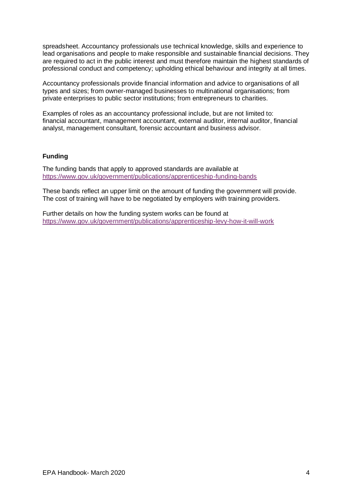spreadsheet. Accountancy professionals use technical knowledge, skills and experience to lead organisations and people to make responsible and sustainable financial decisions. They are required to act in the public interest and must therefore maintain the highest standards of professional conduct and competency; upholding ethical behaviour and integrity at all times.

Accountancy professionals provide financial information and advice to organisations of all types and sizes; from owner-managed businesses to multinational organisations; from private enterprises to public sector institutions; from entrepreneurs to charities.

Examples of roles as an accountancy professional include, but are not limited to: financial accountant, management accountant, external auditor, internal auditor, financial analyst, management consultant, forensic accountant and business advisor.

#### **Funding**

The funding bands that apply to approved standards are available at <https://www.gov.uk/government/publications/apprenticeship-funding-bands>

These bands reflect an upper limit on the amount of funding the government will provide. The cost of training will have to be negotiated by employers with training providers.

Further details on how the funding system works can be found at <https://www.gov.uk/government/publications/apprenticeship-levy-how-it-will-work>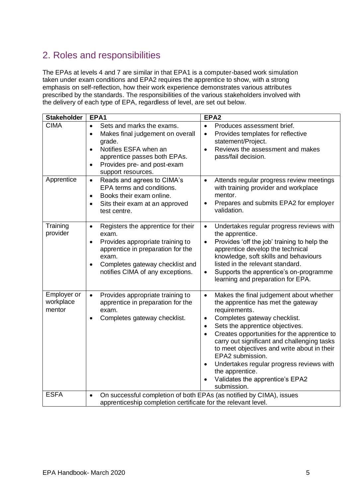## 2. Roles and responsibilities

The EPAs at levels 4 and 7 are similar in that EPA1 is a computer-based work simulation taken under exam conditions and EPA2 requires the apprentice to show, with a strong emphasis on self-reflection, how their work experience demonstrates various attributes prescribed by the standards. The responsibilities of the various stakeholders involved with the delivery of each type of EPA, regardless of level, are set out below.

| <b>Stakeholder</b>                 | EPA1                                                                                                                                                                                                                                        | EPA <sub>2</sub>                                                                                                                                                                                                                                                                                                                                                                                                                                                                                        |
|------------------------------------|---------------------------------------------------------------------------------------------------------------------------------------------------------------------------------------------------------------------------------------------|---------------------------------------------------------------------------------------------------------------------------------------------------------------------------------------------------------------------------------------------------------------------------------------------------------------------------------------------------------------------------------------------------------------------------------------------------------------------------------------------------------|
| <b>CIMA</b>                        | Sets and marks the exams.<br>$\bullet$<br>Makes final judgement on overall<br>$\bullet$<br>grade.<br>Notifies ESFA when an<br>$\bullet$<br>apprentice passes both EPAs.<br>Provides pre- and post-exam<br>$\bullet$<br>support resources.   | Produces assessment brief.<br>Provides templates for reflective<br>$\bullet$<br>statement/Project.<br>Reviews the assessment and makes<br>$\bullet$<br>pass/fail decision.                                                                                                                                                                                                                                                                                                                              |
| Apprentice                         | Reads and agrees to CIMA's<br>$\bullet$<br>EPA terms and conditions.<br>Books their exam online.<br>$\bullet$<br>Sits their exam at an approved<br>٠<br>test centre.                                                                        | Attends regular progress review meetings<br>$\bullet$<br>with training provider and workplace<br>mentor.<br>Prepares and submits EPA2 for employer<br>$\bullet$<br>validation.                                                                                                                                                                                                                                                                                                                          |
| Training<br>provider               | Registers the apprentice for their<br>$\bullet$<br>exam.<br>Provides appropriate training to<br>$\bullet$<br>apprentice in preparation for the<br>exam.<br>Completes gateway checklist and<br>$\bullet$<br>notifies CIMA of any exceptions. | Undertakes regular progress reviews with<br>$\bullet$<br>the apprentice.<br>Provides 'off the job' training to help the<br>$\bullet$<br>apprentice develop the technical<br>knowledge, soft skills and behaviours<br>listed in the relevant standard.<br>Supports the apprentice's on-programme<br>$\bullet$<br>learning and preparation for EPA.                                                                                                                                                       |
| Employer or<br>workplace<br>mentor | Provides appropriate training to<br>$\bullet$<br>apprentice in preparation for the<br>exam.<br>Completes gateway checklist.<br>٠                                                                                                            | Makes the final judgement about whether<br>$\bullet$<br>the apprentice has met the gateway<br>requirements.<br>Completes gateway checklist.<br>$\bullet$<br>Sets the apprentice objectives.<br>$\bullet$<br>Creates opportunities for the apprentice to<br>$\bullet$<br>carry out significant and challenging tasks<br>to meet objectives and write about in their<br>EPA2 submission.<br>Undertakes regular progress reviews with<br>the apprentice.<br>Validates the apprentice's EPA2<br>submission. |
| <b>ESFA</b>                        | On successful completion of both EPAs (as notified by CIMA), issues<br>$\bullet$<br>apprenticeship completion certificate for the relevant level.                                                                                           |                                                                                                                                                                                                                                                                                                                                                                                                                                                                                                         |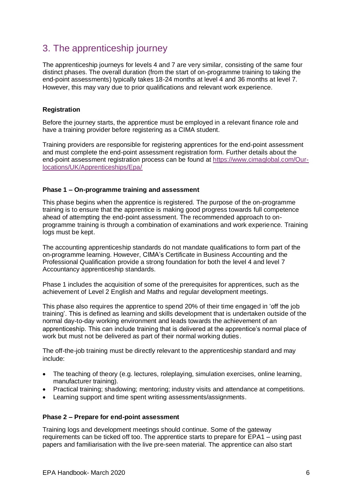## 3. The apprenticeship journey

The apprenticeship journeys for levels 4 and 7 are very similar, consisting of the same four distinct phases. The overall duration (from the start of on-programme training to taking the end-point assessments) typically takes 18-24 months at level 4 and 36 months at level 7. However, this may vary due to prior qualifications and relevant work experience.

#### **Registration**

Before the journey starts, the apprentice must be employed in a relevant finance role and have a training provider before registering as a CIMA student.

Training providers are responsible for registering apprentices for the end-point assessment and must complete the end-point assessment registration form. Further details about the end-point assessment registration process can be found at [https://www.cimaglobal.com/Our](https://www.cimaglobal.com/Our-locations/UK/Apprenticeships/Epa/)[locations/UK/Apprenticeships/Epa/](https://www.cimaglobal.com/Our-locations/UK/Apprenticeships/Epa/)

#### **Phase 1 – On-programme training and assessment**

This phase begins when the apprentice is registered. The purpose of the on-programme training is to ensure that the apprentice is making good progress towards full competence ahead of attempting the end-point assessment. The recommended approach to onprogramme training is through a combination of examinations and work experience. Training logs must be kept.

The accounting apprenticeship standards do not mandate qualifications to form part of the on-programme learning. However, CIMA's Certificate in Business Accounting and the Professional Qualification provide a strong foundation for both the level 4 and level 7 Accountancy apprenticeship standards.

Phase 1 includes the acquisition of some of the prerequisites for apprentices, such as the achievement of Level 2 English and Maths and regular development meetings.

This phase also requires the apprentice to spend 20% of their time engaged in 'off the job training'. This is defined as learning and skills development that is undertaken outside of the normal day-to-day working environment and leads towards the achievement of an apprenticeship. This can include training that is delivered at the apprentice's normal place of work but must not be delivered as part of their normal working duties.

The off-the-job training must be directly relevant to the apprenticeship standard and may include:

- The teaching of theory (e.g. lectures, roleplaying, simulation exercises, online learning, manufacturer training).
- Practical training; shadowing; mentoring; industry visits and attendance at competitions.
- Learning support and time spent writing assessments/assignments.

#### **Phase 2 – Prepare for end-point assessment**

Training logs and development meetings should continue. Some of the gateway requirements can be ticked off too. The apprentice starts to prepare for EPA1 – using past papers and familiarisation with the live pre-seen material. The apprentice can also start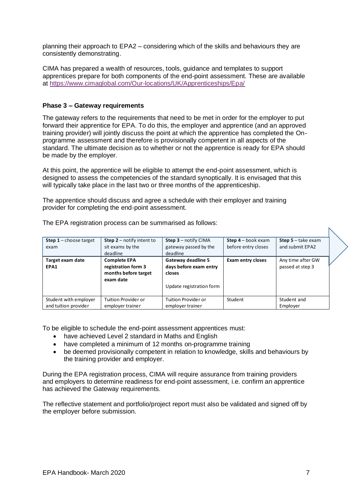planning their approach to EPA2 – considering which of the skills and behaviours they are consistently demonstrating.

CIMA has prepared a wealth of resources, tools, guidance and templates to support apprentices prepare for both components of the end-point assessment. These are available at<https://www.cimaglobal.com/Our-locations/UK/Apprenticeships/Epa/>

#### **Phase 3 – Gateway requirements**

The gateway refers to the requirements that need to be met in order for the employer to put forward their apprentice for EPA. To do this, the employer and apprentice (and an approved training provider) will jointly discuss the point at which the apprentice has completed the Onprogramme assessment and therefore is provisionally competent in all aspects of the standard. The ultimate decision as to whether or not the apprentice is ready for EPA should be made by the employer.

At this point, the apprentice will be eligible to attempt the end-point assessment, which is designed to assess the competencies of the standard synoptically. It is envisaged that this will typically take place in the last two or three months of the apprenticeship.

The apprentice should discuss and agree a schedule with their employer and training provider for completing the end-point assessment.

| <b>Step 1</b> – choose target | <b>Step 2</b> – notify intent to | <b>Step 3</b> – notify CIMA | <b>Step 4</b> – book exam | <b>Step 5</b> $-$ take exam |  |
|-------------------------------|----------------------------------|-----------------------------|---------------------------|-----------------------------|--|
| exam                          | sit exams by the                 | gateway passed by the       | before entry closes       | and submit EPA2             |  |
|                               | deadline                         | deadline                    |                           |                             |  |
| Target exam date              | <b>Complete EPA</b>              | Gateway deadline 5          | <b>Exam entry closes</b>  | Any time after GW           |  |
| EPA1                          | registration form 3              | days before exam entry      |                           | passed at step 3            |  |
|                               | months before target             | closes                      |                           |                             |  |
|                               | exam date                        |                             |                           |                             |  |
|                               |                                  | Update registration form    |                           |                             |  |
|                               |                                  |                             |                           |                             |  |
| Student with employer         | Tuition Provider or              | <b>Tuition Provider or</b>  | Student                   | Student and                 |  |
| and tuition provider          | employer trainer                 | employer trainer            |                           | Employer                    |  |

The EPA registration process can be summarised as follows:

To be eligible to schedule the end-point assessment apprentices must:

- have achieved Level 2 standard in Maths and English
- have completed a minimum of 12 months on-programme training
- be deemed provisionally competent in relation to knowledge, skills and behaviours by the training provider and employer.

During the EPA registration process, CIMA will require assurance from training providers and employers to determine readiness for end-point assessment, i.e. confirm an apprentice has achieved the Gateway requirements.

The reflective statement and portfolio/project report must also be validated and signed off by the employer before submission.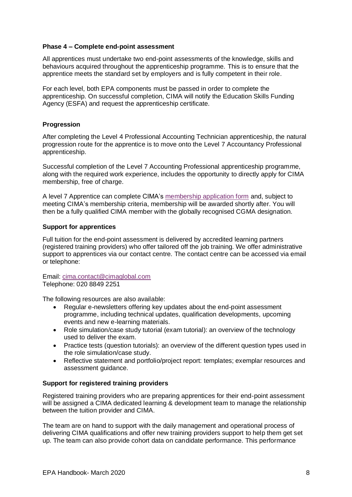#### **Phase 4 – Complete end-point assessment**

All apprentices must undertake two end-point assessments of the knowledge, skills and behaviours acquired throughout the apprenticeship programme. This is to ensure that the apprentice meets the standard set by employers and is fully competent in their role.

For each level, both EPA components must be passed in order to complete the apprenticeship. On successful completion, CIMA will notify the Education Skills Funding Agency (ESFA) and request the apprenticeship certificate.

#### **Progression**

After completing the Level 4 Professional Accounting Technician apprenticeship, the natural progression route for the apprentice is to move onto the Level 7 Accountancy Professional apprenticeship.

Successful completion of the Level 7 Accounting Professional apprenticeship programme, along with the required work experience, includes the opportunity to directly apply for CIMA membership, free of charge.

A level 7 Apprentice can complete CIMA's [membership application form](https://www.cimaglobal.com/Documents/Apprenticeships/Membership%20Application%20Form%20-%20Apprentices%20V2.pdf) and, subject to meeting CIMA's membership criteria, membership will be awarded shortly after. You will then be a fully qualified CIMA member with the globally recognised CGMA designation.

#### **Support for apprentices**

Full tuition for the end-point assessment is delivered by accredited learning partners (registered training providers) who offer tailored off the job training. We offer administrative support to apprentices via our contact centre. The contact centre can be accessed via email or telephone:

Email: [cima.contact@cimaglobal.com](mailto:cima.contact@cimaglobal.com) Telephone: 020 8849 2251

The following resources are also available:

- Regular e-newsletters offering key updates about the end-point assessment programme, including technical updates, qualification developments, upcoming events and new e-learning materials.
- Role simulation/case study tutorial (exam tutorial): an overview of the technology used to deliver the exam.
- Practice tests (question tutorials): an overview of the different question types used in the role simulation/case study.
- Reflective statement and portfolio/project report: templates; exemplar resources and assessment guidance.

#### **Support for registered training providers**

Registered training providers who are preparing apprentices for their end-point assessment will be assigned a CIMA dedicated learning & development team to manage the relationship between the tuition provider and CIMA.

The team are on hand to support with the daily management and operational process of delivering CIMA qualifications and offer new training providers support to help them get set up. The team can also provide cohort data on candidate performance. This performance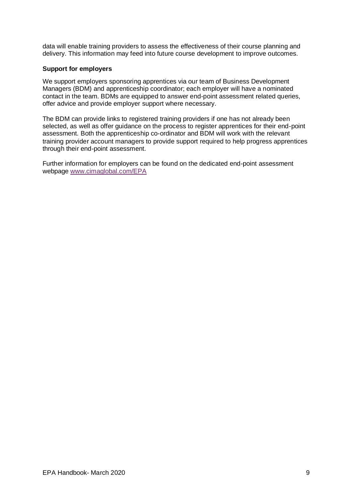data will enable training providers to assess the effectiveness of their course planning and delivery. This information may feed into future course development to improve outcomes.

#### **Support for employers**

We support employers sponsoring apprentices via our team of Business Development Managers (BDM) and apprenticeship coordinator; each employer will have a nominated contact in the team. BDMs are equipped to answer end-point assessment related queries, offer advice and provide employer support where necessary.

The BDM can provide links to registered training providers if one has not already been selected, as well as offer guidance on the process to register apprentices for their end-point assessment. Both the apprenticeship co-ordinator and BDM will work with the relevant training provider account managers to provide support required to help progress apprentices through their end-point assessment.

Further information for employers can be found on the dedicated end-point assessment webpage [www.cimaglobal.com/EPA](http://www.cimaglobal.com/EPA)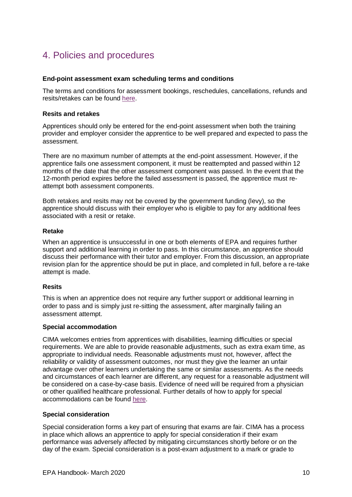## 4. Policies and procedures

#### **End-point assessment exam scheduling terms and conditions**

The terms and conditions for assessment bookings, reschedules, cancellations, refunds and resits/retakes can be found [here.](https://www.cimaglobal.com/Documents/Apprenticeships/CIMA%20Exam%20Scheduling%20Terms%20and%20Conditions_5.0_November%2019.docx)

#### **Resits and retakes**

Apprentices should only be entered for the end-point assessment when both the training provider and employer consider the apprentice to be well prepared and expected to pass the assessment.

There are no maximum number of attempts at the end-point assessment. However, if the apprentice fails one assessment component, it must be reattempted and passed within 12 months of the date that the other assessment component was passed. In the event that the 12-month period expires before the failed assessment is passed, the apprentice must reattempt both assessment components.

Both retakes and resits may not be covered by the government funding (levy), so the apprentice should discuss with their employer who is eligible to pay for any additional fees associated with a resit or retake.

#### **Retake**

When an apprentice is unsuccessful in one or both elements of EPA and requires further support and additional learning in order to pass. In this circumstance, an apprentice should discuss their performance with their tutor and employer. From this discussion, an appropriate revision plan for the apprentice should be put in place, and completed in full, before a re-take attempt is made.

#### **Resits**

This is when an apprentice does not require any further support or additional learning in order to pass and is simply just re-sitting the assessment, after marginally failing an assessment attempt.

#### **Special accommodation**

CIMA welcomes entries from apprentices with disabilities, learning difficulties or special requirements. We are able to provide reasonable adjustments, such as extra exam time, as appropriate to individual needs. Reasonable adjustments must not, however, affect the reliability or validity of assessment outcomes, nor must they give the learner an unfair advantage over other learners undertaking the same or similar assessments. As the needs and circumstances of each learner are different, any request for a reasonable adjustment will be considered on a case-by-case basis. Evidence of need will be required from a physician or other qualified healthcare professional. Further details of how to apply for special accommodations can be found [here.](https://www.cimaglobal.com/Documents/Apprenticeships/EPA%20Special%20accommodations_active%20policy_Aug%2018_1.0.pdf)

#### **Special consideration**

Special consideration forms a key part of ensuring that exams are fair. CIMA has a process in place which allows an apprentice to apply for special consideration if their exam performance was adversely affected by mitigating circumstances shortly before or on the day of the exam. Special consideration is a post-exam adjustment to a mark or grade to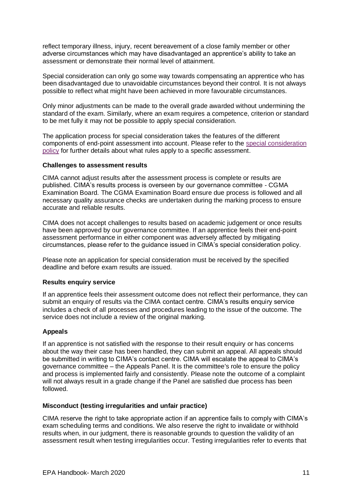reflect temporary illness, injury, recent bereavement of a close family member or other adverse circumstances which may have disadvantaged an apprentice's ability to take an assessment or demonstrate their normal level of attainment.

Special consideration can only go some way towards compensating an apprentice who has been disadvantaged due to unavoidable circumstances beyond their control. It is not always possible to reflect what might have been achieved in more favourable circumstances.

Only minor adjustments can be made to the overall grade awarded without undermining the standard of the exam. Similarly, where an exam requires a competence, criterion or standard to be met fully it may not be possible to apply special consideration.

The application process for special consideration takes the features of the different components of end-point assessment into account. Please refer to the [special consideration](https://www.cimaglobal.com/Documents/Apprenticeships/EPA%20Special%20Consideration_active%20policy_Aug%2018_1.0.pdf)  [policy](https://www.cimaglobal.com/Documents/Apprenticeships/EPA%20Special%20Consideration_active%20policy_Aug%2018_1.0.pdf) for further details about what rules apply to a specific assessment.

#### **Challenges to assessment results**

CIMA cannot adjust results after the assessment process is complete or results are published. CIMA's results process is overseen by our governance committee - CGMA Examination Board. The CGMA Examination Board ensure due process is followed and all necessary quality assurance checks are undertaken during the marking process to ensure accurate and reliable results.

CIMA does not accept challenges to results based on academic judgement or once results have been approved by our governance committee. If an apprentice feels their end-point assessment performance in either component was adversely affected by mitigating circumstances, please refer to the guidance issued in CIMA's special consideration policy.

Please note an application for special consideration must be received by the specified deadline and before exam results are issued.

#### **Results enquiry service**

If an apprentice feels their assessment outcome does not reflect their performance, they can submit an enquiry of results via the CIMA contact centre. CIMA's results enquiry service includes a check of all processes and procedures leading to the issue of the outcome. The service does not include a review of the original marking.

#### **Appeals**

If an apprentice is not satisfied with the response to their result enquiry or has concerns about the way their case has been handled, they can submit an appeal. All appeals should be submitted in writing to CIMA's contact centre. CIMA will escalate the appeal to CIMA's governance committee – the Appeals Panel. It is the committee's role to ensure the policy and process is implemented fairly and consistently. Please note the outcome of a complaint will not always result in a grade change if the Panel are satisfied due process has been followed.

#### **Misconduct (testing irregularities and unfair practice)**

CIMA reserve the right to take appropriate action if an apprentice fails to comply with CIMA's exam scheduling terms and conditions. We also reserve the right to invalidate or withhold results when, in our judgment, there is reasonable grounds to question the validity of an assessment result when testing irregularities occur. Testing irregularities refer to events that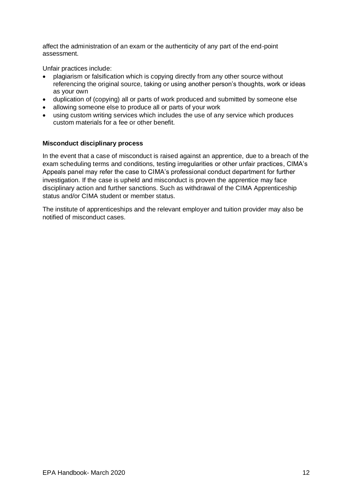affect the administration of an exam or the authenticity of any part of the end-point assessment.

Unfair practices include:

- plagiarism or falsification which is copying directly from any other source without referencing the original source, taking or using another person's thoughts, work or ideas as your own
- duplication of (copying) all or parts of work produced and submitted by someone else
- allowing someone else to produce all or parts of your work
- using custom writing services which includes the use of any service which produces custom materials for a fee or other benefit.

#### **Misconduct disciplinary process**

In the event that a case of misconduct is raised against an apprentice, due to a breach of the exam scheduling terms and conditions, testing irregularities or other unfair practices, CIMA's Appeals panel may refer the case to CIMA's professional conduct department for further investigation. If the case is upheld and misconduct is proven the apprentice may face disciplinary action and further sanctions. Such as withdrawal of the CIMA Apprenticeship status and/or CIMA student or member status.

The institute of apprenticeships and the relevant employer and tuition provider may also be notified of misconduct cases.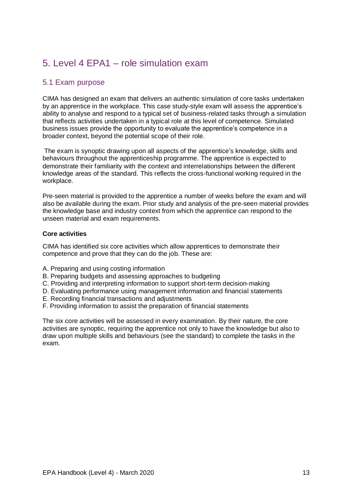## 5. Level 4 EPA1 – role simulation exam

## 5.1 Exam purpose

CIMA has designed an exam that delivers an authentic simulation of core tasks undertaken by an apprentice in the workplace. This case study-style exam will assess the apprentice's ability to analyse and respond to a typical set of business-related tasks through a simulation that reflects activities undertaken in a typical role at this level of competence. Simulated business issues provide the opportunity to evaluate the apprentice's competence in a broader context, beyond the potential scope of their role.

The exam is synoptic drawing upon all aspects of the apprentice's knowledge, skills and behaviours throughout the apprenticeship programme. The apprentice is expected to demonstrate their familiarity with the context and interrelationships between the different knowledge areas of the standard. This reflects the cross-functional working required in the workplace.

Pre‐seen material is provided to the apprentice a number of weeks before the exam and will also be available during the exam. Prior study and analysis of the pre‐seen material provides the knowledge base and industry context from which the apprentice can respond to the unseen material and exam requirements.

#### **Core activities**

CIMA has identified six core activities which allow apprentices to demonstrate their competence and prove that they can do the job. These are:

- A. Preparing and using costing information
- B. Preparing budgets and assessing approaches to budgeting
- C. Providing and interpreting information to support short-term decision-making
- D. Evaluating performance using management information and financial statements
- E. Recording financial transactions and adjustments
- F. Providing information to assist the preparation of financial statements

The six core activities will be assessed in every examination. By their nature, the core activities are synoptic, requiring the apprentice not only to have the knowledge but also to draw upon multiple skills and behaviours (see the standard) to complete the tasks in the exam.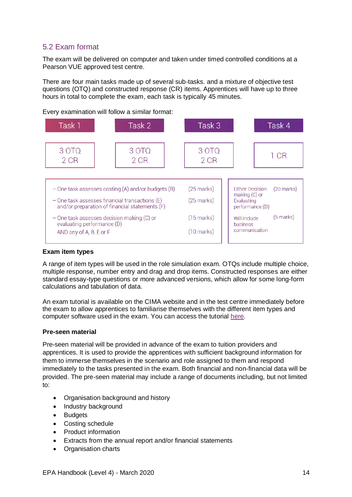## 5.2 Exam format

The exam will be delivered on computer and taken under timed controlled conditions at a Pearson VUE approved test centre.

There are four main tasks made up of several sub-tasks. and a mixture of objective test questions (OTQ) and constructed response (CR) items. Apprentices will have up to three hours in total to complete the exam, each task is typically 45 minutes.

Task 2 Task 3 Task 4 Task 1 30TQ 3 OTO 3 OTO  $1$  CR 2 CR 2 CR  $2CR$  $-$  One task assesses costing (A) and/or budgets (B)  $(25$  marks) Either: Decision (20 marks) making (C) or  $-$  One task assesses financial transactions (E)  $(25$  marks) Evaluating and/or preparation of financial statements  $(F)$ performance (D) (5 marks) - One task assesses decision making (C) or  $(15$  marks) Will include evaluating performance (D) **husiness** communication AND any of A, B, E or F  $(10 \text{ marks})$ 

### Every examination will follow a similar format:

#### **Exam item types**

A range of item types will be used in the role simulation exam. OTQs include multiple choice, multiple response, number entry and drag and drop items. Constructed responses are either standard essay-type questions or more advanced versions, which allow for some long-form calculations and tabulation of data.

An exam tutorial is available on the CIMA website and in the test centre immediately before the exam to allow apprentices to familiarise themselves with the different item types and computer software used in the exam. You can access the tutorial [here.](https://home.pearsonvue.com/cima/questiontutorials)

#### **Pre-seen material**

Pre-seen material will be provided in advance of the exam to tuition providers and apprentices. It is used to provide the apprentices with sufficient background information for them to immerse themselves in the scenario and role assigned to them and respond immediately to the tasks presented in the exam. Both financial and non‐financial data will be provided. The pre-seen material may include a range of documents including, but not limited to:

- Organisation background and history
- Industry background
- Budgets
- Costing schedule
- Product information
- Extracts from the annual report and/or financial statements
- Organisation charts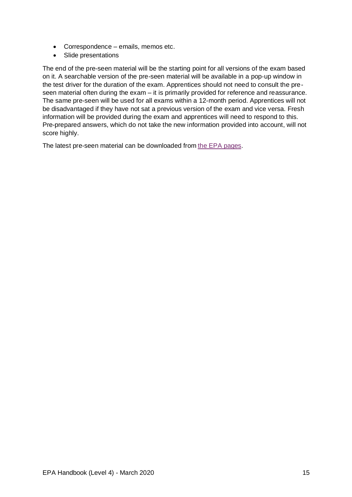- Correspondence emails, memos etc.
- Slide presentations

The end of the pre-seen material will be the starting point for all versions of the exam based on it. A searchable version of the pre-seen material will be available in a pop‐up window in the test driver for the duration of the exam. Apprentices should not need to consult the preseen material often during the exam – it is primarily provided for reference and reassurance. The same pre-seen will be used for all exams within a 12-month period. Apprentices will not be disadvantaged if they have not sat a previous version of the exam and vice versa. Fresh information will be provided during the exam and apprentices will need to respond to this. Pre-prepared answers, which do not take the new information provided into account, will not score highly.

The latest pre-seen material can be downloaded from [the EPA pages.](https://www.cimaglobal.com/Our-locations/UK/Apprenticeships/epa/)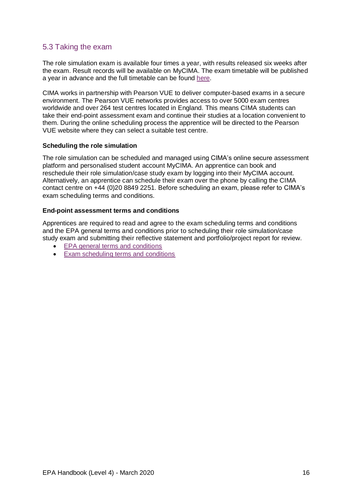### 5.3 Taking the exam

The role simulation exam is available four times a year, with results released six weeks after the exam. Result records will be available on MyCIMA. The exam timetable will be published a year in advance and the full timetable can be found [here.](https://www.cimaglobal.com/PageFiles/745294417/Level%204%20EPA1%202020%20exam%20timetable_external_v.1.0-1.pdf)

CIMA works in partnership with Pearson VUE to deliver computer-based exams in a secure environment. The Pearson VUE networks provides access to over 5000 exam centres worldwide and over 264 test centres located in England. This means CIMA students can take their end-point assessment exam and continue their studies at a location convenient to them. During the online scheduling process the apprentice will be directed to the Pearson VUE website where they can select a suitable test centre.

#### **Scheduling the role simulation**

The role simulation can be scheduled and managed using CIMA's online secure assessment platform and personalised student account MyCIMA. An apprentice can book and reschedule their role simulation/case study exam by logging into their MyCIMA account. Alternatively, an apprentice can schedule their exam over the phone by calling the CIMA contact centre on +44 (0)20 8849 2251. Before scheduling an exam, please refer to CIMA's exam scheduling terms and conditions.

#### **End-point assessment terms and conditions**

Apprentices are required to read and agree to the exam scheduling terms and conditions and the EPA general terms and conditions prior to scheduling their role simulation/case study exam and submitting their reflective statement and portfolio/project report for review.

- [EPA general terms and conditions](https://www.cimaglobal.com/Documents/Apprenticeships/EPA%20general%20terms%20and%20conditions_1.0_Oct%202018.docx)
- [Exam scheduling terms and conditions](https://www.cimaglobal.com/Documents/Apprenticeships/CIMA%20Exam%20Scheduling%20Terms%20and%20Conditions_5.0_November%2019.docx)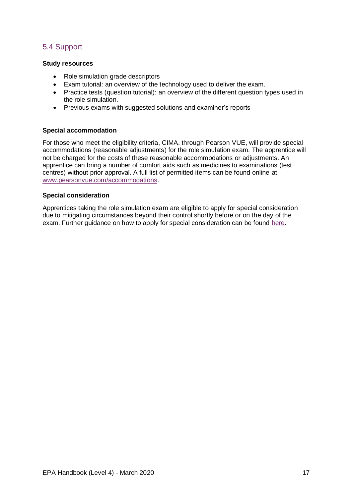## 5.4 Support

#### **Study resources**

- Role simulation grade descriptors
- Exam tutorial: an overview of the technology used to deliver the exam.
- Practice tests (question tutorial): an overview of the different question types used in the role simulation.
- Previous exams with suggested solutions and examiner's reports

#### **Special accommodation**

For those who meet the eligibility criteria, CIMA, through Pearson VUE, will provide special accommodations (reasonable adjustments) for the role simulation exam. The apprentice will not be charged for the costs of these reasonable accommodations or adjustments. An apprentice can bring a number of comfort aids such as medicines to examinations (test centres) without prior approval. A full list of permitted items can be found online at [www.pearsonvue.com/accommodations.](http://www.pearsonvue.com/accommodations)

#### **Special consideration**

Apprentices taking the role simulation exam are eligible to apply for special consideration due to mitigating circumstances beyond their control shortly before or on the day of the exam. Further guidance on how to apply for special consideration can be found [here.](https://www.cimaglobal.com/Documents/Apprenticeships/EPA%20Special%20Consideration_active%20policy_Aug%2018_1.0.pdf)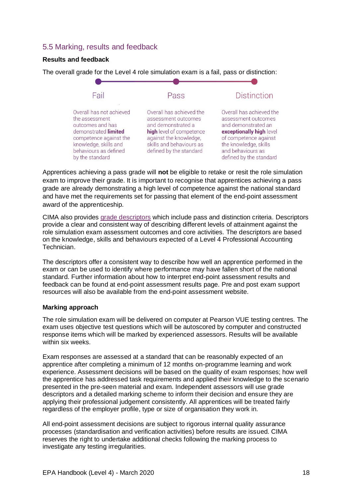### 5.5 Marking, results and feedback

#### **Results and feedback**



The overall grade for the Level 4 role simulation exam is a fail, pass or distinction:

Apprentices achieving a pass grade will **not** be eligible to retake or resit the role simulation exam to improve their grade. It is important to recognise that apprentices achieving a pass grade are already demonstrating a high level of competence against the national standard and have met the requirements set for passing that element of the end-point assessment award of the apprenticeship.

CIMA also provides [grade descriptors](https://www.cimaglobal.com/Documents/Apprenticeships/New%20Grade%20Descriptors.pdf) which include pass and distinction criteria. Descriptors provide a clear and consistent way of describing different levels of attainment against the role simulation exam assessment outcomes and core activities. The descriptors are based on the knowledge, skills and behaviours expected of a Level 4 Professional Accounting Technician.

The descriptors offer a consistent way to describe how well an apprentice performed in the exam or can be used to identify where performance may have fallen short of the national standard. Further information about how to interpret end-point assessment results and feedback can be found at end-point assessment results page. Pre and post exam support resources will also be available from the end-point assessment website.

#### **Marking approach**

The role simulation exam will be delivered on computer at Pearson VUE testing centres. The exam uses objective test questions which will be autoscored by computer and constructed response items which will be marked by experienced assessors. Results will be available within six weeks.

Exam responses are assessed at a standard that can be reasonably expected of an apprentice after completing a minimum of 12 months on-programme learning and work experience. Assessment decisions will be based on the quality of exam responses; how well the apprentice has addressed task requirements and applied their knowledge to the scenario presented in the pre-seen material and exam. Independent assessors will use grade descriptors and a detailed marking scheme to inform their decision and ensure they are applying their professional judgement consistently. All apprentices will be treated fairly regardless of the employer profile, type or size of organisation they work in.

All end-point assessment decisions are subject to rigorous internal quality assurance processes (standardisation and verification activities) before results are issued. CIMA reserves the right to undertake additional checks following the marking process to investigate any testing irregularities.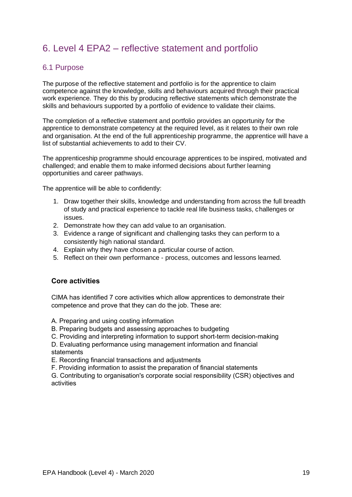## 6. Level 4 EPA2 – reflective statement and portfolio

#### 6.1 Purpose

The purpose of the reflective statement and portfolio is for the apprentice to claim competence against the knowledge, skills and behaviours acquired through their practical work experience. They do this by producing reflective statements which demonstrate the skills and behaviours supported by a portfolio of evidence to validate their claims.

The completion of a reflective statement and portfolio provides an opportunity for the apprentice to demonstrate competency at the required level, as it relates to their own role and organisation. At the end of the full apprenticeship programme, the apprentice will have a list of substantial achievements to add to their CV.

The apprenticeship programme should encourage apprentices to be inspired, motivated and challenged; and enable them to make informed decisions about further learning opportunities and career pathways.

The apprentice will be able to confidently:

- 1. Draw together their skills, knowledge and understanding from across the full breadth of study and practical experience to tackle real life business tasks, challenges or issues.
- 2. Demonstrate how they can add value to an organisation.
- 3. Evidence a range of significant and challenging tasks they can perform to a consistently high national standard.
- 4. Explain why they have chosen a particular course of action.
- 5. Reflect on their own performance process, outcomes and lessons learned.

#### **Core activities**

CIMA has identified 7 core activities which allow apprentices to demonstrate their competence and prove that they can do the job. These are:

- A. Preparing and using costing information
- B. Preparing budgets and assessing approaches to budgeting
- C. Providing and interpreting information to support short-term decision-making
- D. Evaluating performance using management information and financial statements

E. Recording financial transactions and adjustments

F. Providing information to assist the preparation of financial statements

G. Contributing to organisation's corporate social responsibility (CSR) objectives and activities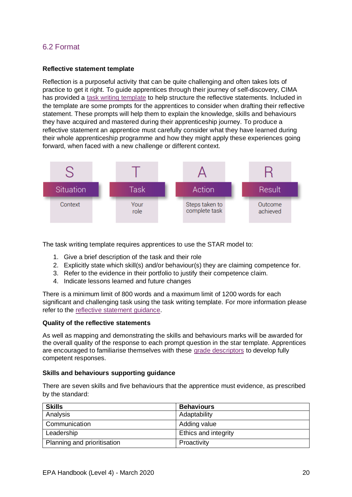## 6.2 Format

#### **Reflective statement template**

Reflection is a purposeful activity that can be quite challenging and often takes lots of practice to get it right. To guide apprentices through their journey of self-discovery, CIMA has provided a [task writing template](https://www.cimaglobal.com/Documents/Apprenticeships/Reflective_statement_task_writing_template.docx) to help structure the reflective statements. Included in the template are some prompts for the apprentices to consider when drafting their reflective statement. These prompts will help them to explain the knowledge, skills and behaviours they have acquired and mastered during their apprenticeship journey. To produce a reflective statement an apprentice must carefully consider what they have learned during their whole apprenticeship programme and how they might apply these experiences going forward, when faced with a new challenge or different context.



The task writing template requires apprentices to use the STAR model to:

- 1. Give a brief description of the task and their role
- 2. Explicitly state which skill(s) and/or behaviour(s) they are claiming competence for.
- 3. Refer to the evidence in their portfolio to justify their competence claim.
- 4. Indicate lessons learned and future changes

There is a minimum limit of 800 words and a maximum limit of 1200 words for each significant and challenging task using the task writing template. For more information please refer to the [reflective statement guidance.](https://www.cimaglobal.com/Documents/Apprenticeships/Reflective%20statement%20guidance.pdf)

#### **Quality of the reflective statements**

As well as mapping and demonstrating the skills and behaviours marks will be awarded for the overall quality of the response to each prompt question in the star template. Apprentices are encouraged to familiarise themselves with these grade [descriptors](https://www.cimaglobal.com/Documents/Apprenticeships/L4%20EPA2%20Performance%20descriptors.pdf) to develop fully competent responses.

#### **Skills and behaviours supporting guidance**

There are seven skills and five behaviours that the apprentice must evidence, as prescribed by the standard:

| <b>Skills</b>               | <b>Behaviours</b>    |
|-----------------------------|----------------------|
| Analysis                    | Adaptability         |
| Communication               | Adding value         |
| Leadership                  | Ethics and integrity |
| Planning and prioritisation | Proactivity          |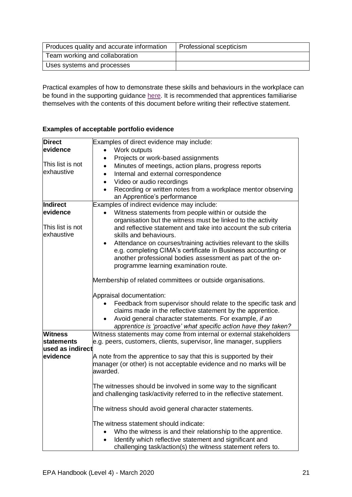| Produces quality and accurate information | Professional scepticism |
|-------------------------------------------|-------------------------|
| Team working and collaboration            |                         |
| Uses systems and processes                |                         |

Practical examples of how to demonstrate these skills and behaviours in the workplace can be found in the supporting guidance [here.](https://www.cimaglobal.com/Documents/Apprenticeships/L4A_skills_and_behaviours.pdf) It is recommended that apprentices familiarise themselves with the contents of this document before writing their reflective statement.

#### **Examples of acceptable portfolio evidence**

| <b>Direct</b>     | Examples of direct evidence may include:                                  |  |
|-------------------|---------------------------------------------------------------------------|--|
| evidence          | Work outputs<br>$\bullet$                                                 |  |
|                   | Projects or work-based assignments<br>$\bullet$                           |  |
| This list is not  | Minutes of meetings, action plans, progress reports<br>$\bullet$          |  |
| exhaustive        | Internal and external correspondence<br>$\bullet$                         |  |
|                   | Video or audio recordings<br>$\bullet$                                    |  |
|                   | Recording or written notes from a workplace mentor observing<br>$\bullet$ |  |
|                   | an Apprentice's performance                                               |  |
| Indirect          | Examples of indirect evidence may include:                                |  |
| evidence          | Witness statements from people within or outside the<br>$\bullet$         |  |
|                   | organisation but the witness must be linked to the activity               |  |
| This list is not  | and reflective statement and take into account the sub criteria           |  |
| exhaustive        | skills and behaviours.                                                    |  |
|                   | Attendance on courses/training activities relevant to the skills          |  |
|                   | e.g. completing CIMA's certificate in Business accounting or              |  |
|                   | another professional bodies assessment as part of the on-                 |  |
|                   | programme learning examination route.                                     |  |
|                   |                                                                           |  |
|                   | Membership of related committees or outside organisations.                |  |
|                   | Appraisal documentation:                                                  |  |
|                   | Feedback from supervisor should relate to the specific task and           |  |
|                   | claims made in the reflective statement by the apprentice.                |  |
|                   | Avoid general character statements. For example, if an                    |  |
|                   | apprentice is 'proactive' what specific action have they taken?           |  |
| <b>Witness</b>    | Witness statements may come from internal or external stakeholders        |  |
| <b>statements</b> | e.g. peers, customers, clients, supervisor, line manager, suppliers       |  |
| used as indirect  |                                                                           |  |
| evidence          | A note from the apprentice to say that this is supported by their         |  |
|                   | manager (or other) is not acceptable evidence and no marks will be        |  |
|                   | awarded.                                                                  |  |
|                   |                                                                           |  |
|                   | The witnesses should be involved in some way to the significant           |  |
|                   | and challenging task/activity referred to in the reflective statement.    |  |
|                   |                                                                           |  |
|                   | The witness should avoid general character statements.                    |  |
|                   | The witness statement should indicate:                                    |  |
|                   | Who the witness is and their relationship to the apprentice.              |  |
|                   | Identify which reflective statement and significant and<br>$\bullet$      |  |
|                   | challenging task/action(s) the witness statement refers to.               |  |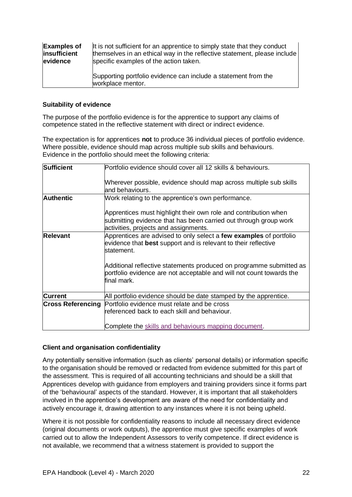| <b>Examples of</b> | It is not sufficient for an apprentice to simply state that they conduct            |
|--------------------|-------------------------------------------------------------------------------------|
| insufficient       | themselves in an ethical way in the reflective statement, please include            |
| evidence           | specific examples of the action taken.                                              |
|                    | Supporting portfolio evidence can include a statement from the<br>workplace mentor. |

#### **Suitability of evidence**

The purpose of the portfolio evidence is for the apprentice to support any claims of competence stated in the reflective statement with direct or indirect evidence.

The expectation is for apprentices **not** to produce 36 individual pieces of portfolio evidence. Where possible, evidence should map across multiple sub skills and behaviours. Evidence in the portfolio should meet the following criteria:

| Sufficient       | Portfolio evidence should cover all 12 skills & behaviours.                                                                                                                  |
|------------------|------------------------------------------------------------------------------------------------------------------------------------------------------------------------------|
|                  | Wherever possible, evidence should map across multiple sub skills<br>land behaviours.                                                                                        |
| <b>Authentic</b> | Work relating to the apprentice's own performance.                                                                                                                           |
|                  | Apprentices must highlight their own role and contribution when<br>submitting evidence that has been carried out through group work<br>activities, projects and assignments. |
| <b>Relevant</b>  | Apprentices are advised to only select a few examples of portfolio<br>evidence that best support and is relevant to their reflective<br>lstatement.                          |
|                  | Additional reflective statements produced on programme submitted as<br>portfolio evidence are not acceptable and will not count towards the<br>final mark.                   |
| <b>Current</b>   | All portfolio evidence should be date stamped by the apprentice.                                                                                                             |
|                  | <b>Cross Referencing</b> Portfolio evidence must relate and be cross<br>referenced back to each skill and behaviour.                                                         |
|                  | Complete the skills and behaviours mapping document.                                                                                                                         |

#### **Client and organisation confidentiality**

Any potentially sensitive information (such as clients' personal details) or information specific to the organisation should be removed or redacted from evidence submitted for this part of the assessment. This is required of all accounting technicians and should be a skill that Apprentices develop with guidance from employers and training providers since it forms part of the 'behavioural' aspects of the standard. However, it is important that all stakeholders involved in the apprentice's development are aware of the need for confidentiality and actively encourage it, drawing attention to any instances where it is not being upheld.

Where it is not possible for confidentiality reasons to include all necessary direct evidence (original documents or work outputs), the apprentice must give specific examples of work carried out to allow the Independent Assessors to verify competence. If direct evidence is not available, we recommend that a witness statement is provided to support the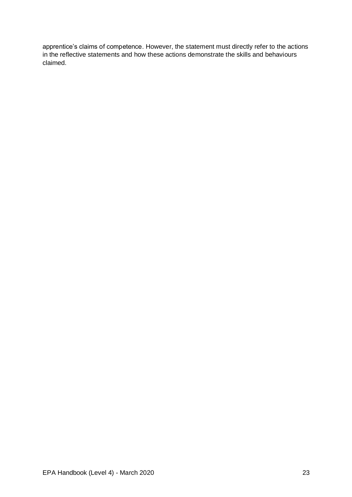apprentice's claims of competence. However, the statement must directly refer to the actions in the reflective statements and how these actions demonstrate the skills and behaviours claimed.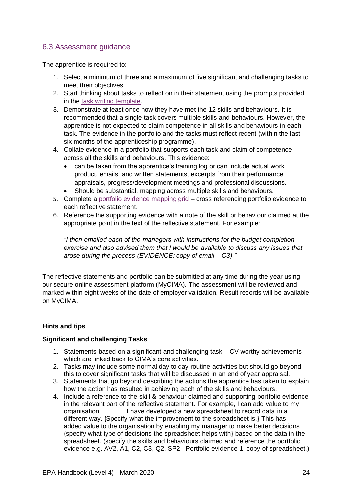## 6.3 Assessment guidance

The apprentice is required to:

- 1. Select a minimum of three and a maximum of five significant and challenging tasks to meet their objectives.
- 2. Start thinking about tasks to reflect on in their statement using the prompts provided in the [task writing template.](https://www.cimaglobal.com/Documents/Apprenticeships/Reflective_statement_task_writing_template.docx)
- 3. Demonstrate at least once how they have met the 12 skills and behaviours. It is recommended that a single task covers multiple skills and behaviours. However, the apprentice is not expected to claim competence in all skills and behaviours in each task. The evidence in the portfolio and the tasks must reflect recent (within the last six months of the apprenticeship programme).
- 4. Collate evidence in a portfolio that supports each task and claim of competence across all the skills and behaviours. This evidence:
	- can be taken from the apprentice's training log or can include actual work product, emails, and written statements, excerpts from their performance appraisals, progress/development meetings and professional discussions.
	- Should be substantial, mapping across multiple skills and behaviours.
- 5. Complete a [portfolio evidence mapping grid](https://www.cimaglobal.com/Documents/Apprenticeships/portfolio_evidence_mapping_document.docx) cross referencing portfolio evidence to each reflective statement.
- 6. Reference the supporting evidence with a note of the skill or behaviour claimed at the appropriate point in the text of the reflective statement. For example:

*"I then emailed each of the managers with instructions for the budget completion exercise and also advised them that I would be available to discuss any issues that arose during the process (EVIDENCE: copy of email – C3)."*

The reflective statements and portfolio can be submitted at any time during the year using our secure online assessment platform (MyCIMA). The assessment will be reviewed and marked within eight weeks of the date of employer validation. Result records will be available on MyCIMA.

#### **Hints and tips**

#### **Significant and challenging Tasks**

- 1. Statements based on a significant and challenging task CV worthy achievements which are linked back to CIMA's core activities.
- 2. Tasks may include some normal day to day routine activities but should go beyond this to cover significant tasks that will be discussed in an end of year appraisal.
- 3. Statements that go beyond describing the actions the apprentice has taken to explain how the action has resulted in achieving each of the skills and behaviours.
- 4. Include a reference to the skill & behaviour claimed and supporting portfolio evidence in the relevant part of the reflective statement. For example, I can add value to my organisation………….I have developed a new spreadsheet to record data in a different way. {Specify what the improvement to the spreadsheet is.} This has added value to the organisation by enabling my manager to make better decisions {specify what type of decisions the spreadsheet helps with} based on the data in the spreadsheet. (specify the skills and behaviours claimed and reference the portfolio evidence e.g. AV2, A1, C2, C3, Q2, SP2 - Portfolio evidence 1: copy of spreadsheet.)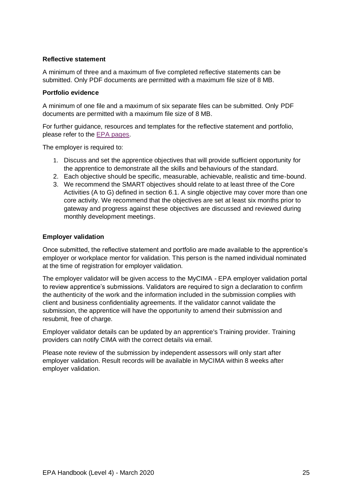#### **Reflective statement**

A minimum of three and a maximum of five completed reflective statements can be submitted. Only PDF documents are permitted with a maximum file size of 8 MB.

#### **Portfolio evidence**

A minimum of one file and a maximum of six separate files can be submitted. Only PDF documents are permitted with a maximum file size of 8 MB.

For further guidance, resources and templates for the reflective statement and portfolio, please refer to the [EPA pages.](vhttps://www.cimaglobal.com/Our-locations/UK/Apprenticeships/epa/)

The employer is required to:

- 1. Discuss and set the apprentice objectives that will provide sufficient opportunity for the apprentice to demonstrate all the skills and behaviours of the standard.
- 2. Each objective should be specific, measurable, achievable, realistic and time-bound.
- 3. We recommend the SMART objectives should relate to at least three of the Core Activities (A to G) defined in section 6.1. A single objective may cover more than one core activity. We recommend that the objectives are set at least six months prior to gateway and progress against these objectives are discussed and reviewed during monthly development meetings.

#### **Employer validation**

Once submitted, the reflective statement and portfolio are made available to the apprentice's employer or workplace mentor for validation. This person is the named individual nominated at the time of registration for employer validation.

The employer validator will be given access to the MyCIMA - EPA employer validation portal to review apprentice's submissions. Validators are required to sign a declaration to confirm the authenticity of the work and the information included in the submission complies with client and business confidentiality agreements. If the validator cannot validate the submission, the apprentice will have the opportunity to amend their submission and resubmit, free of charge.

Employer validator details can be updated by an apprentice's Training provider. Training providers can notify CIMA with the correct details via email.

Please note review of the submission by independent assessors will only start after employer validation. Result records will be available in MyCIMA within 8 weeks after employer validation.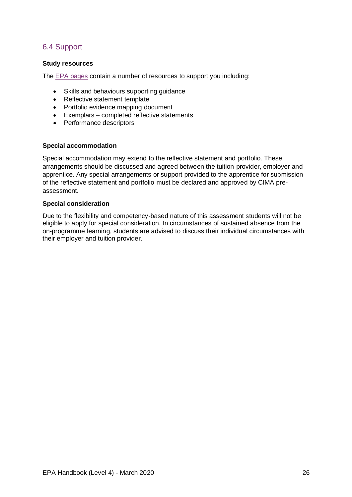## 6.4 Support

#### **Study resources**

The **EPA** pages contain a number of resources to support you including:

- Skills and behaviours supporting guidance
- Reflective statement template
- Portfolio evidence mapping document
- Exemplars completed reflective statements
- Performance descriptors

#### **Special accommodation**

Special accommodation may extend to the reflective statement and portfolio. These arrangements should be discussed and agreed between the tuition provider, employer and apprentice. Any special arrangements or support provided to the apprentice for submission of the reflective statement and portfolio must be declared and approved by CIMA preassessment.

#### **Special consideration**

Due to the flexibility and competency-based nature of this assessment students will not be eligible to apply for special consideration. In circumstances of sustained absence from the on-programme learning, students are advised to discuss their individual circumstances with their employer and tuition provider.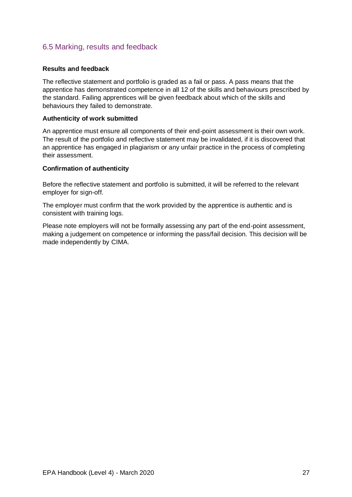### 6.5 Marking, results and feedback

#### **Results and feedback**

The reflective statement and portfolio is graded as a fail or pass. A pass means that the apprentice has demonstrated competence in all 12 of the skills and behaviours prescribed by the standard. Failing apprentices will be given feedback about which of the skills and behaviours they failed to demonstrate.

#### **Authenticity of work submitted**

An apprentice must ensure all components of their end-point assessment is their own work. The result of the portfolio and reflective statement may be invalidated, if it is discovered that an apprentice has engaged in plagiarism or any unfair practice in the process of completing their assessment.

#### **Confirmation of authenticity**

Before the reflective statement and portfolio is submitted, it will be referred to the relevant employer for sign-off.

The employer must confirm that the work provided by the apprentice is authentic and is consistent with training logs.

Please note employers will not be formally assessing any part of the end-point assessment, making a judgement on competence or informing the pass/fail decision. This decision will be made independently by CIMA.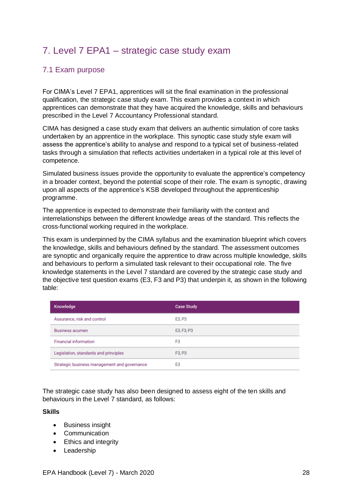## 7. Level 7 EPA1 – strategic case study exam

## 7.1 Exam purpose

For CIMA's Level 7 EPA1, apprentices will sit the final examination in the professional qualification, the strategic case study exam. This exam provides a context in which apprentices can demonstrate that they have acquired the knowledge, skills and behaviours prescribed in the Level 7 Accountancy Professional standard.

CIMA has designed a case study exam that delivers an authentic simulation of core tasks undertaken by an apprentice in the workplace. This synoptic case study style exam will assess the apprentice's ability to analyse and respond to a typical set of business-related tasks through a simulation that reflects activities undertaken in a typical role at this level of competence.

Simulated business issues provide the opportunity to evaluate the apprentice's competency in a broader context, beyond the potential scope of their role. The exam is synoptic, drawing upon all aspects of the apprentice's KSB developed throughout the apprenticeship programme.

The apprentice is expected to demonstrate their familiarity with the context and interrelationships between the different knowledge areas of the standard. This reflects the cross-functional working required in the workplace.

This exam is underpinned by the CIMA syllabus and the examination blueprint which covers the knowledge, skills and behaviours defined by the standard. The assessment outcomes are synoptic and organically require the apprentice to draw across multiple knowledge, skills and behaviours to perform a simulated task relevant to their occupational role. The five knowledge statements in the Level 7 standard are covered by the strategic case study and the objective test question exams (E3, F3 and P3) that underpin it, as shown in the following table:

| Knowledge                                    | <b>Case Study</b> |
|----------------------------------------------|-------------------|
| Assurance, risk and control                  | E3, P3            |
| <b>Business acumen</b>                       | E3, F3, P3        |
| <b>Financial information</b>                 | F <sub>3</sub>    |
| Legislation, standards and principles        | F3, P3            |
| Strategic business management and governance | E <sub>3</sub>    |

The strategic case study has also been designed to assess eight of the ten skills and behaviours in the Level 7 standard, as follows:

#### **Skills**

- Business insight
- Communication
- Ethics and integrity
- Leadership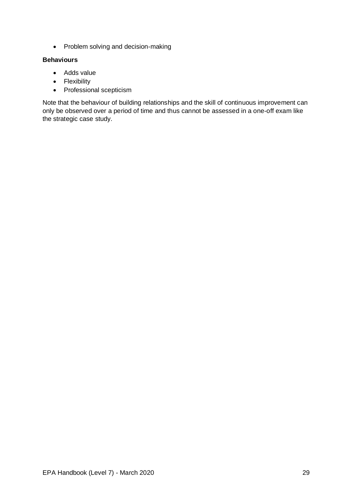• Problem solving and decision-making

### **Behaviours**

- Adds value
- Flexibility
- Professional scepticism

Note that the behaviour of building relationships and the skill of continuous improvement can only be observed over a period of time and thus cannot be assessed in a one-off exam like the strategic case study.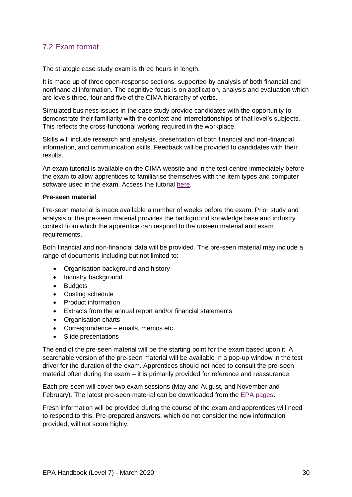## 7.2 Exam format

The strategic case study exam is three hours in length.

It is made up of three open-response sections, supported by analysis of both financial and nonfinancial information. The cognitive focus is on application, analysis and evaluation which are levels three, four and five of the CIMA hierarchy of verbs.

Simulated business issues in the case study provide candidates with the opportunity to demonstrate their familiarity with the context and interrelationships of that level's subjects. This reflects the cross-functional working required in the workplace.

Skills will include research and analysis, presentation of both financial and non-financial information, and communication skills. Feedback will be provided to candidates with their results.

An exam tutorial is available on the CIMA website and in the test centre immediately before the exam to allow apprentices to familiarise themselves with the item types and computer software used in the exam. Access the tutorial [here.](https://home.pearsonvue.com/cima/questiontutorials)

#### **Pre-seen material**

Pre‐seen material is made available a number of weeks before the exam. Prior study and analysis of the pre‐seen material provides the background knowledge base and industry context from which the apprentice can respond to the unseen material and exam requirements.

Both financial and non-financial data will be provided. The pre-seen material may include a range of documents including but not limited to:

- Organisation background and history
- Industry background
- Budgets
- Costing schedule
- Product information
- Extracts from the annual report and/or financial statements
- Organisation charts
- Correspondence emails, memos etc.
- Slide presentations

The end of the pre-seen material will be the starting point for the exam based upon it. A searchable version of the pre‐seen material will be available in a pop‐up window in the test driver for the duration of the exam. Apprentices should not need to consult the pre‐seen material often during the exam – it is primarily provided for reference and reassurance.

Each pre-seen will cover two exam sessions (May and August, and November and February). The latest pre-seen material can be downloaded from the [EPA pages.](https://www.cimaglobal.com/Our-locations/UK/Apprenticeships/Epa/)

Fresh information will be provided during the course of the exam and apprentices will need to respond to this. Pre-prepared answers, which do not consider the new information provided, will not score highly.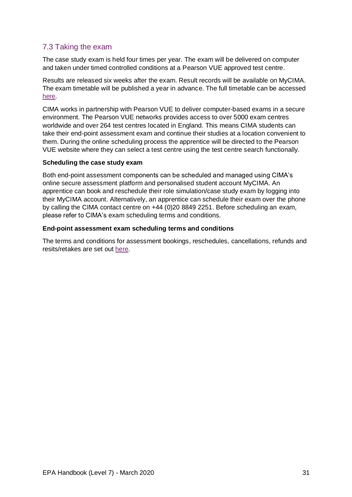## 7.3 Taking the exam

The case study exam is held four times per year. The exam will be delivered on computer and taken under timed controlled conditions at a Pearson VUE approved test centre.

Results are released six weeks after the exam. Result records will be available on MyCIMA. The exam timetable will be published a year in advance. The full timetable can be accessed [here.](https://www.cimaglobal.com/Documents/Apprenticeships/Level%207%20EPA1%202020%20exam%20timetable_external_v.2.0-TF%20.pdf)

CIMA works in partnership with Pearson VUE to deliver computer-based exams in a secure environment. The Pearson VUE networks provides access to over 5000 exam centres worldwide and over 264 test centres located in England. This means CIMA students can take their end-point assessment exam and continue their studies at a location convenient to them. During the online scheduling process the apprentice will be directed to the Pearson VUE website where they can select a test centre using the test centre search functionally.

#### **Scheduling the case study exam**

Both end-point assessment components can be scheduled and managed using CIMA's online secure assessment platform and personalised student account MyCIMA. An apprentice can book and reschedule their role simulation/case study exam by logging into their MyCIMA account. Alternatively, an apprentice can schedule their exam over the phone by calling the CIMA contact centre on +44 (0)20 8849 2251. Before scheduling an exam, please refer to CIMA's exam scheduling terms and conditions.

#### **End-point assessment exam scheduling terms and conditions**

The terms and conditions for assessment bookings, reschedules, cancellations, refunds and resits/retakes are set out [here.](https://www.cimaglobal.com/Documents/Apprenticeships/CIMA%20Exam%20Scheduling%20Terms%20and%20Conditions_5.0_November%2019.docx)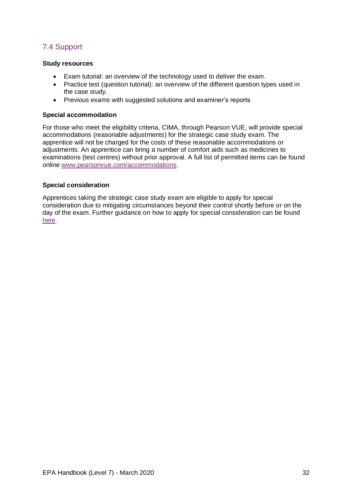## 7.4 Support

#### **Study resources**

- Exam tutorial: an overview of the technology used to deliver the exam.
- Practice test (question tutorial): an overview of the different question types used in the case study.
- Previous exams with suggested solutions and examiner's reports

#### **Special accommodation**

For those who meet the eligibility criteria, CIMA, through Pearson VUE, will provide special accommodations (reasonable adjustments) for the strategic case study exam. The apprentice will not be charged for the costs of these reasonable accommodations or adjustments. An apprentice can bring a number of comfort aids such as medicines to examinations (test centres) without prior approval. A full list of permitted items can be found online [www.pearsonvue.com/accommodations.](http://www.pearsonvue.com/accommodations)

#### **Special consideration**

Apprentices taking the strategic case study exam are eligible to apply for special consideration due to mitigating circumstances beyond their control shortly before or on the day of the exam. Further guidance on how to apply for special consideration can be found [here.](https://www.cimaglobal.com/Documents/Apprenticeships/EPA%20Special%20Consideration_active%20policy_Aug%2018_1.0.pdf)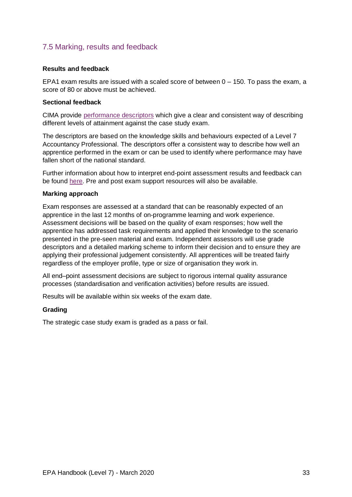### 7.5 Marking, results and feedback

#### **Results and feedback**

EPA1 exam results are issued with a scaled score of between  $0 - 150$ . To pass the exam, a score of 80 or above must be achieved.

#### **Sectional feedback**

CIMA provide [performance](https://www.cimaglobal.com/Documents/Apprenticeships/SCS%202019%20-%20performance%20descriptors.pdf) descriptors which give a clear and consistent way of describing different levels of attainment against the case study exam.

The descriptors are based on the knowledge skills and behaviours expected of a Level 7 Accountancy Professional. The descriptors offer a consistent way to describe how well an apprentice performed in the exam or can be used to identify where performance may have fallen short of the national standard.

Further information about how to interpret end-point assessment results and feedback can be found [here.](https://cima-planner-production.s3.eu-west-1.amazonaws.com/f2b0060acec44aa6af7cd4445b064811.pdf) Pre and post exam support resources will also be available.

#### **Marking approach**

Exam responses are assessed at a standard that can be reasonably expected of an apprentice in the last 12 months of on-programme learning and work experience. Assessment decisions will be based on the quality of exam responses; how well the apprentice has addressed task requirements and applied their knowledge to the scenario presented in the pre-seen material and exam. Independent assessors will use grade descriptors and a detailed marking scheme to inform their decision and to ensure they are applying their professional judgement consistently. All apprentices will be treated fairly regardless of the employer profile, type or size of organisation they work in.

All end–point assessment decisions are subject to rigorous internal quality assurance processes (standardisation and verification activities) before results are issued.

Results will be available within six weeks of the exam date.

#### **Grading**

The strategic case study exam is graded as a pass or fail.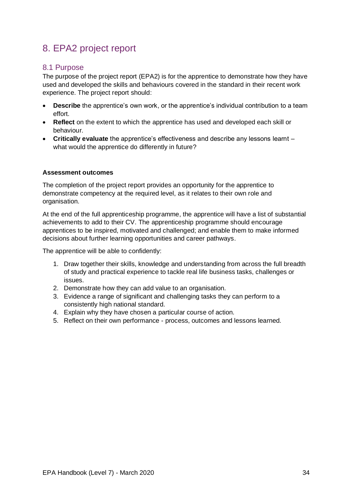## 8. EPA2 project report

#### 8.1 Purpose

The purpose of the project report (EPA2) is for the apprentice to demonstrate how they have used and developed the skills and behaviours covered in the standard in their recent work experience. The project report should:

- **Describe** the apprentice's own work, or the apprentice's individual contribution to a team effort.
- **Reflect** on the extent to which the apprentice has used and developed each skill or behaviour.
- **Critically evaluate** the apprentice's effectiveness and describe any lessons learnt what would the apprentice do differently in future?

#### **Assessment outcomes**

The completion of the project report provides an opportunity for the apprentice to demonstrate competency at the required level, as it relates to their own role and organisation.

At the end of the full apprenticeship programme, the apprentice will have a list of substantial achievements to add to their CV. The apprenticeship programme should encourage apprentices to be inspired, motivated and challenged; and enable them to make informed decisions about further learning opportunities and career pathways.

The apprentice will be able to confidently:

- 1. Draw together their skills, knowledge and understanding from across the full breadth of study and practical experience to tackle real life business tasks, challenges or issues.
- 2. Demonstrate how they can add value to an organisation.
- 3. Evidence a range of significant and challenging tasks they can perform to a consistently high national standard.
- 4. Explain why they have chosen a particular course of action.
- 5. Reflect on their own performance process, outcomes and lessons learned.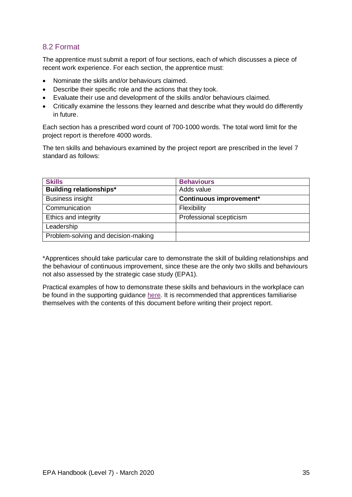## 8.2 Format

The apprentice must submit a report of four sections, each of which discusses a piece of recent work experience. For each section, the apprentice must:

- Nominate the skills and/or behaviours claimed.
- Describe their specific role and the actions that they took.
- Evaluate their use and development of the skills and/or behaviours claimed.
- Critically examine the lessons they learned and describe what they would do differently in future.

Each section has a prescribed word count of 700-1000 words. The total word limit for the project report is therefore 4000 words.

The ten skills and behaviours examined by the project report are prescribed in the level 7 standard as follows:

| <b>Skills</b>                       | <b>Behaviours</b>       |
|-------------------------------------|-------------------------|
| <b>Building relationships*</b>      | Adds value              |
| <b>Business insight</b>             | Continuous improvement* |
| Communication                       | Flexibility             |
| Ethics and integrity                | Professional scepticism |
| Leadership                          |                         |
| Problem-solving and decision-making |                         |

\*Apprentices should take particular care to demonstrate the skill of building relationships and the behaviour of continuous improvement, since these are the only two skills and behaviours not also assessed by the strategic case study (EPA1).

Practical examples of how to demonstrate these skills and behaviours in the workplace can be found in the supporting guidance [here.](https://www.cimaglobal.com/Documents/Apprenticeships/L7A_EPA2_skills_and_behaviours.pdf) It is recommended that apprentices familiarise themselves with the contents of this document before writing their project report.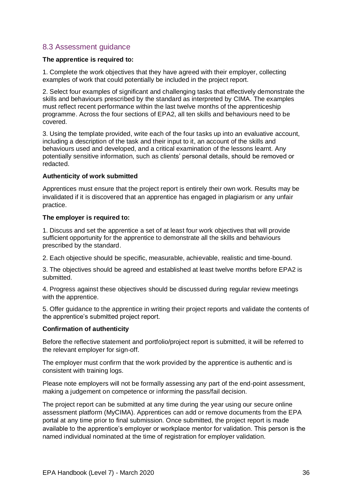### 8.3 Assessment guidance

#### **The apprentice is required to:**

1. Complete the work objectives that they have agreed with their employer, collecting examples of work that could potentially be included in the project report.

2. Select four examples of significant and challenging tasks that effectively demonstrate the skills and behaviours prescribed by the standard as interpreted by CIMA. The examples must reflect recent performance within the last twelve months of the apprenticeship programme. Across the four sections of EPA2, all ten skills and behaviours need to be covered.

3. Using the template provided, write each of the four tasks up into an evaluative account, including a description of the task and their input to it, an account of the skills and behaviours used and developed, and a critical examination of the lessons learnt. Any potentially sensitive information, such as clients' personal details, should be removed or redacted.

#### **Authenticity of work submitted**

Apprentices must ensure that the project report is entirely their own work. Results may be invalidated if it is discovered that an apprentice has engaged in plagiarism or any unfair practice.

#### **The employer is required to:**

1. Discuss and set the apprentice a set of at least four work objectives that will provide sufficient opportunity for the apprentice to demonstrate all the skills and behaviours prescribed by the standard.

2. Each objective should be specific, measurable, achievable, realistic and time-bound.

3. The objectives should be agreed and established at least twelve months before EPA2 is submitted.

4. Progress against these objectives should be discussed during regular review meetings with the apprentice.

5. Offer guidance to the apprentice in writing their project reports and validate the contents of the apprentice's submitted project report.

#### **Confirmation of authenticity**

Before the reflective statement and portfolio/project report is submitted, it will be referred to the relevant employer for sign-off.

The employer must confirm that the work provided by the apprentice is authentic and is consistent with training logs.

Please note employers will not be formally assessing any part of the end-point assessment, making a judgement on competence or informing the pass/fail decision.

The project report can be submitted at any time during the year using our secure online assessment platform (MyCIMA). Apprentices can add or remove documents from the EPA portal at any time prior to final submission. Once submitted, the project report is made available to the apprentice's employer or workplace mentor for validation. This person is the named individual nominated at the time of registration for employer validation.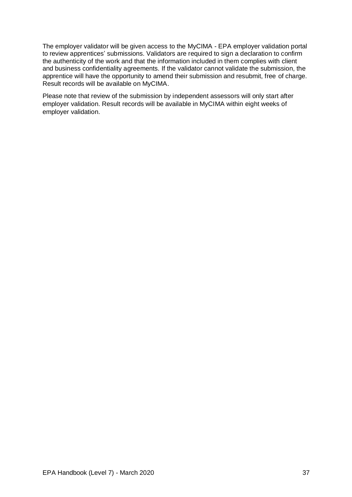The employer validator will be given access to the MyCIMA - EPA employer validation portal to review apprentices' submissions. Validators are required to sign a declaration to confirm the authenticity of the work and that the information included in them complies with client and business confidentiality agreements. If the validator cannot validate the submission, the apprentice will have the opportunity to amend their submission and resubmit, free of charge. Result records will be available on MyCIMA.

Please note that review of the submission by independent assessors will only start after employer validation. Result records will be available in MyCIMA within eight weeks of employer validation.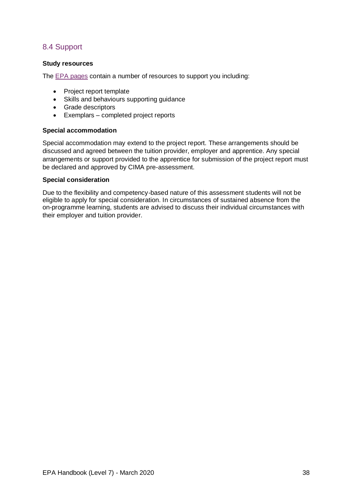## 8.4 Support

#### **Study resources**

The [EPA pages](https://www.cimaglobal.com/Our-locations/UK/Apprenticeships/epa/) contain a number of resources to support you including:

- Project report template
- Skills and behaviours supporting guidance
- Grade descriptors
- Exemplars completed project reports

#### **Special accommodation**

Special accommodation may extend to the project report. These arrangements should be discussed and agreed between the tuition provider, employer and apprentice. Any special arrangements or support provided to the apprentice for submission of the project report must be declared and approved by CIMA pre-assessment.

#### **Special consideration**

Due to the flexibility and competency-based nature of this assessment students will not be eligible to apply for special consideration. In circumstances of sustained absence from the on-programme learning, students are advised to discuss their individual circumstances with their employer and tuition provider.